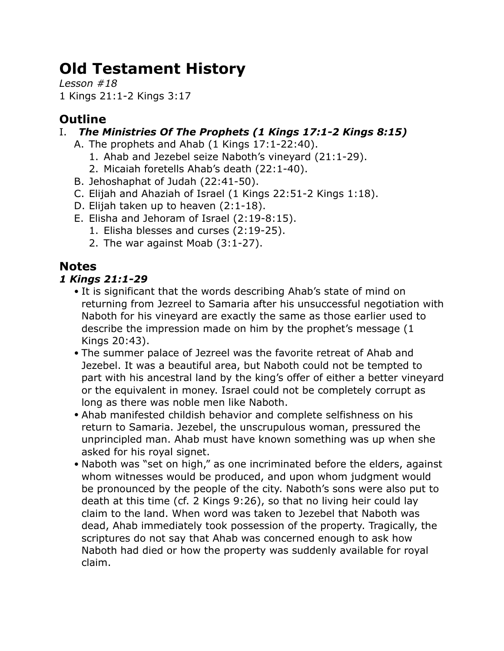# **Old Testament History**

*Lesson #18* 1 Kings 21:1-2 Kings 3:17

# **Outline**

### I. *The Ministries Of The Prophets (1 Kings 17:1-2 Kings 8:15)*

- A. The prophets and Ahab (1 Kings 17:1-22:40).
	- 1. Ahab and Jezebel seize Naboth's vineyard (21:1-29).
	- 2. Micaiah foretells Ahab's death (22:1-40).
- B. Jehoshaphat of Judah (22:41-50).
- C. Elijah and Ahaziah of Israel (1 Kings 22:51-2 Kings 1:18).
- D. Elijah taken up to heaven (2:1-18).
- E. Elisha and Jehoram of Israel (2:19-8:15).
	- 1. Elisha blesses and curses (2:19-25).
	- 2. The war against Moab (3:1-27).

## **Notes**

## *1 Kings 21:1-29*

- It is significant that the words describing Ahab's state of mind on returning from Jezreel to Samaria after his unsuccessful negotiation with Naboth for his vineyard are exactly the same as those earlier used to describe the impression made on him by the prophet's message (1 Kings 20:43).
- The summer palace of Jezreel was the favorite retreat of Ahab and Jezebel. It was a beautiful area, but Naboth could not be tempted to part with his ancestral land by the king's offer of either a better vineyard or the equivalent in money. Israel could not be completely corrupt as long as there was noble men like Naboth.
- Ahab manifested childish behavior and complete selfishness on his return to Samaria. Jezebel, the unscrupulous woman, pressured the unprincipled man. Ahab must have known something was up when she asked for his royal signet.
- Naboth was "set on high," as one incriminated before the elders, against whom witnesses would be produced, and upon whom judgment would be pronounced by the people of the city. Naboth's sons were also put to death at this time (cf. 2 Kings 9:26), so that no living heir could lay claim to the land. When word was taken to Jezebel that Naboth was dead, Ahab immediately took possession of the property. Tragically, the scriptures do not say that Ahab was concerned enough to ask how Naboth had died or how the property was suddenly available for royal claim.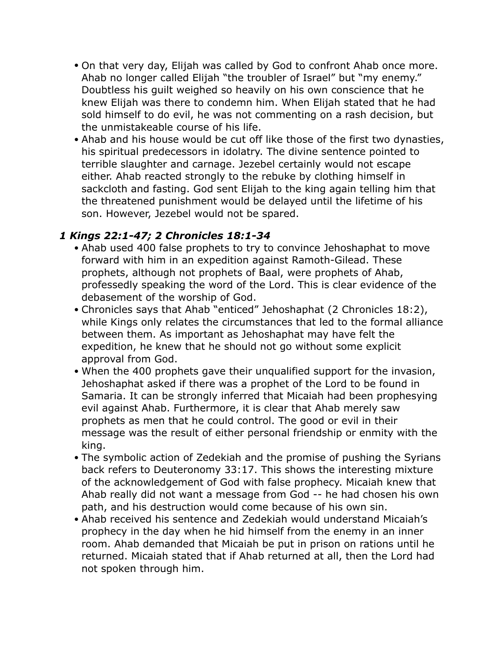- On that very day, Elijah was called by God to confront Ahab once more. Ahab no longer called Elijah "the troubler of Israel" but "my enemy." Doubtless his guilt weighed so heavily on his own conscience that he knew Elijah was there to condemn him. When Elijah stated that he had sold himself to do evil, he was not commenting on a rash decision, but the unmistakeable course of his life.
- Ahab and his house would be cut off like those of the first two dynasties, his spiritual predecessors in idolatry. The divine sentence pointed to terrible slaughter and carnage. Jezebel certainly would not escape either. Ahab reacted strongly to the rebuke by clothing himself in sackcloth and fasting. God sent Elijah to the king again telling him that the threatened punishment would be delayed until the lifetime of his son. However, Jezebel would not be spared.

#### *1 Kings 22:1-47; 2 Chronicles 18:1-34*

- Ahab used 400 false prophets to try to convince Jehoshaphat to move forward with him in an expedition against Ramoth-Gilead. These prophets, although not prophets of Baal, were prophets of Ahab, professedly speaking the word of the Lord. This is clear evidence of the debasement of the worship of God.
- Chronicles says that Ahab "enticed" Jehoshaphat (2 Chronicles 18:2), while Kings only relates the circumstances that led to the formal alliance between them. As important as Jehoshaphat may have felt the expedition, he knew that he should not go without some explicit approval from God.
- When the 400 prophets gave their unqualified support for the invasion, Jehoshaphat asked if there was a prophet of the Lord to be found in Samaria. It can be strongly inferred that Micaiah had been prophesying evil against Ahab. Furthermore, it is clear that Ahab merely saw prophets as men that he could control. The good or evil in their message was the result of either personal friendship or enmity with the king.
- The symbolic action of Zedekiah and the promise of pushing the Syrians back refers to Deuteronomy 33:17. This shows the interesting mixture of the acknowledgement of God with false prophecy. Micaiah knew that Ahab really did not want a message from God -- he had chosen his own path, and his destruction would come because of his own sin.
- Ahab received his sentence and Zedekiah would understand Micaiah's prophecy in the day when he hid himself from the enemy in an inner room. Ahab demanded that Micaiah be put in prison on rations until he returned. Micaiah stated that if Ahab returned at all, then the Lord had not spoken through him.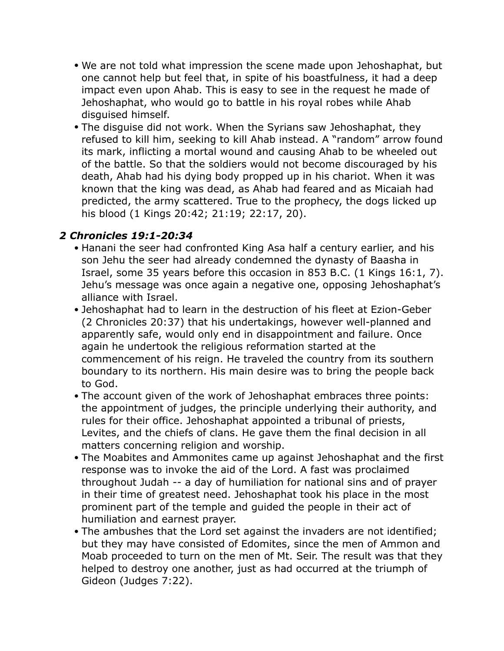- We are not told what impression the scene made upon Jehoshaphat, but one cannot help but feel that, in spite of his boastfulness, it had a deep impact even upon Ahab. This is easy to see in the request he made of Jehoshaphat, who would go to battle in his royal robes while Ahab disguised himself.
- The disguise did not work. When the Syrians saw Jehoshaphat, they refused to kill him, seeking to kill Ahab instead. A "random" arrow found its mark, inflicting a mortal wound and causing Ahab to be wheeled out of the battle. So that the soldiers would not become discouraged by his death, Ahab had his dying body propped up in his chariot. When it was known that the king was dead, as Ahab had feared and as Micaiah had predicted, the army scattered. True to the prophecy, the dogs licked up his blood (1 Kings 20:42; 21:19; 22:17, 20).

#### *2 Chronicles 19:1-20:34*

- Hanani the seer had confronted King Asa half a century earlier, and his son Jehu the seer had already condemned the dynasty of Baasha in Israel, some 35 years before this occasion in 853 B.C. (1 Kings 16:1, 7). Jehu's message was once again a negative one, opposing Jehoshaphat's alliance with Israel.
- Jehoshaphat had to learn in the destruction of his fleet at Ezion-Geber (2 Chronicles 20:37) that his undertakings, however well-planned and apparently safe, would only end in disappointment and failure. Once again he undertook the religious reformation started at the commencement of his reign. He traveled the country from its southern boundary to its northern. His main desire was to bring the people back to God.
- The account given of the work of Jehoshaphat embraces three points: the appointment of judges, the principle underlying their authority, and rules for their office. Jehoshaphat appointed a tribunal of priests, Levites, and the chiefs of clans. He gave them the final decision in all matters concerning religion and worship.
- The Moabites and Ammonites came up against Jehoshaphat and the first response was to invoke the aid of the Lord. A fast was proclaimed throughout Judah -- a day of humiliation for national sins and of prayer in their time of greatest need. Jehoshaphat took his place in the most prominent part of the temple and guided the people in their act of humiliation and earnest prayer.
- The ambushes that the Lord set against the invaders are not identified; but they may have consisted of Edomites, since the men of Ammon and Moab proceeded to turn on the men of Mt. Seir. The result was that they helped to destroy one another, just as had occurred at the triumph of Gideon (Judges 7:22).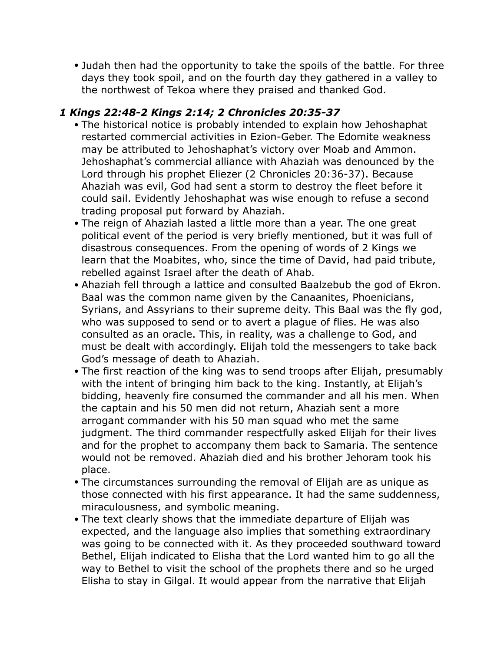• Judah then had the opportunity to take the spoils of the battle. For three days they took spoil, and on the fourth day they gathered in a valley to the northwest of Tekoa where they praised and thanked God.

#### *1 Kings 22:48-2 Kings 2:14; 2 Chronicles 20:35-37*

- The historical notice is probably intended to explain how Jehoshaphat restarted commercial activities in Ezion-Geber. The Edomite weakness may be attributed to Jehoshaphat's victory over Moab and Ammon. Jehoshaphat's commercial alliance with Ahaziah was denounced by the Lord through his prophet Eliezer (2 Chronicles 20:36-37). Because Ahaziah was evil, God had sent a storm to destroy the fleet before it could sail. Evidently Jehoshaphat was wise enough to refuse a second trading proposal put forward by Ahaziah.
- The reign of Ahaziah lasted a little more than a year. The one great political event of the period is very briefly mentioned, but it was full of disastrous consequences. From the opening of words of 2 Kings we learn that the Moabites, who, since the time of David, had paid tribute, rebelled against Israel after the death of Ahab.
- Ahaziah fell through a lattice and consulted Baalzebub the god of Ekron. Baal was the common name given by the Canaanites, Phoenicians, Syrians, and Assyrians to their supreme deity. This Baal was the fly god, who was supposed to send or to avert a plague of flies. He was also consulted as an oracle. This, in reality, was a challenge to God, and must be dealt with accordingly. Elijah told the messengers to take back God's message of death to Ahaziah.
- The first reaction of the king was to send troops after Elijah, presumably with the intent of bringing him back to the king. Instantly, at Elijah's bidding, heavenly fire consumed the commander and all his men. When the captain and his 50 men did not return, Ahaziah sent a more arrogant commander with his 50 man squad who met the same judgment. The third commander respectfully asked Elijah for their lives and for the prophet to accompany them back to Samaria. The sentence would not be removed. Ahaziah died and his brother Jehoram took his place.
- The circumstances surrounding the removal of Elijah are as unique as those connected with his first appearance. It had the same suddenness, miraculousness, and symbolic meaning.
- The text clearly shows that the immediate departure of Elijah was expected, and the language also implies that something extraordinary was going to be connected with it. As they proceeded southward toward Bethel, Elijah indicated to Elisha that the Lord wanted him to go all the way to Bethel to visit the school of the prophets there and so he urged Elisha to stay in Gilgal. It would appear from the narrative that Elijah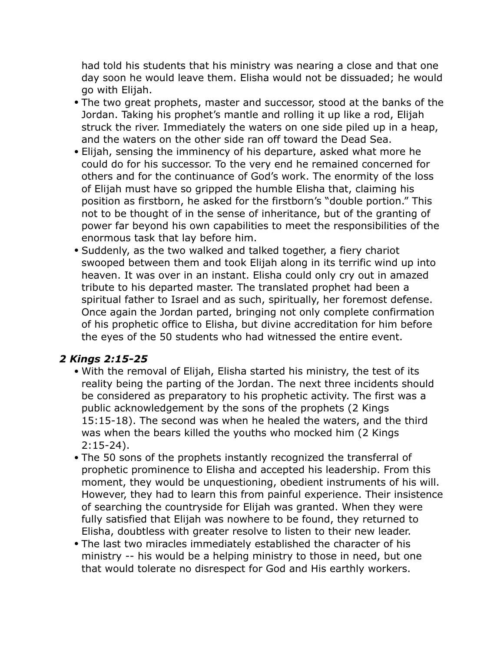had told his students that his ministry was nearing a close and that one day soon he would leave them. Elisha would not be dissuaded; he would go with Elijah.

- The two great prophets, master and successor, stood at the banks of the Jordan. Taking his prophet's mantle and rolling it up like a rod, Elijah struck the river. Immediately the waters on one side piled up in a heap, and the waters on the other side ran off toward the Dead Sea.
- Elijah, sensing the imminency of his departure, asked what more he could do for his successor. To the very end he remained concerned for others and for the continuance of God's work. The enormity of the loss of Elijah must have so gripped the humble Elisha that, claiming his position as firstborn, he asked for the firstborn's "double portion." This not to be thought of in the sense of inheritance, but of the granting of power far beyond his own capabilities to meet the responsibilities of the enormous task that lay before him.
- Suddenly, as the two walked and talked together, a fiery chariot swooped between them and took Elijah along in its terrific wind up into heaven. It was over in an instant. Elisha could only cry out in amazed tribute to his departed master. The translated prophet had been a spiritual father to Israel and as such, spiritually, her foremost defense. Once again the Jordan parted, bringing not only complete confirmation of his prophetic office to Elisha, but divine accreditation for him before the eyes of the 50 students who had witnessed the entire event.

#### *2 Kings 2:15-25*

- With the removal of Elijah, Elisha started his ministry, the test of its reality being the parting of the Jordan. The next three incidents should be considered as preparatory to his prophetic activity. The first was a public acknowledgement by the sons of the prophets (2 Kings 15:15-18). The second was when he healed the waters, and the third was when the bears killed the youths who mocked him (2 Kings 2:15-24).
- The 50 sons of the prophets instantly recognized the transferral of prophetic prominence to Elisha and accepted his leadership. From this moment, they would be unquestioning, obedient instruments of his will. However, they had to learn this from painful experience. Their insistence of searching the countryside for Elijah was granted. When they were fully satisfied that Elijah was nowhere to be found, they returned to Elisha, doubtless with greater resolve to listen to their new leader.
- The last two miracles immediately established the character of his ministry -- his would be a helping ministry to those in need, but one that would tolerate no disrespect for God and His earthly workers.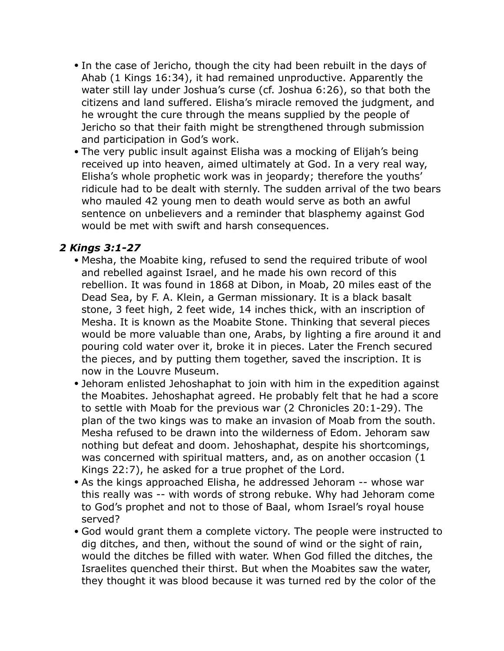- In the case of Jericho, though the city had been rebuilt in the days of Ahab (1 Kings 16:34), it had remained unproductive. Apparently the water still lay under Joshua's curse (cf. Joshua 6:26), so that both the citizens and land suffered. Elisha's miracle removed the judgment, and he wrought the cure through the means supplied by the people of Jericho so that their faith might be strengthened through submission and participation in God's work.
- The very public insult against Elisha was a mocking of Elijah's being received up into heaven, aimed ultimately at God. In a very real way, Elisha's whole prophetic work was in jeopardy; therefore the youths' ridicule had to be dealt with sternly. The sudden arrival of the two bears who mauled 42 young men to death would serve as both an awful sentence on unbelievers and a reminder that blasphemy against God would be met with swift and harsh consequences.

#### *2 Kings 3:1-27*

- Mesha, the Moabite king, refused to send the required tribute of wool and rebelled against Israel, and he made his own record of this rebellion. It was found in 1868 at Dibon, in Moab, 20 miles east of the Dead Sea, by F. A. Klein, a German missionary. It is a black basalt stone, 3 feet high, 2 feet wide, 14 inches thick, with an inscription of Mesha. It is known as the Moabite Stone. Thinking that several pieces would be more valuable than one, Arabs, by lighting a fire around it and pouring cold water over it, broke it in pieces. Later the French secured the pieces, and by putting them together, saved the inscription. It is now in the Louvre Museum.
- Jehoram enlisted Jehoshaphat to join with him in the expedition against the Moabites. Jehoshaphat agreed. He probably felt that he had a score to settle with Moab for the previous war (2 Chronicles 20:1-29). The plan of the two kings was to make an invasion of Moab from the south. Mesha refused to be drawn into the wilderness of Edom. Jehoram saw nothing but defeat and doom. Jehoshaphat, despite his shortcomings, was concerned with spiritual matters, and, as on another occasion (1 Kings 22:7), he asked for a true prophet of the Lord.
- As the kings approached Elisha, he addressed Jehoram -- whose war this really was -- with words of strong rebuke. Why had Jehoram come to God's prophet and not to those of Baal, whom Israel's royal house served?
- God would grant them a complete victory. The people were instructed to dig ditches, and then, without the sound of wind or the sight of rain, would the ditches be filled with water. When God filled the ditches, the Israelites quenched their thirst. But when the Moabites saw the water, they thought it was blood because it was turned red by the color of the